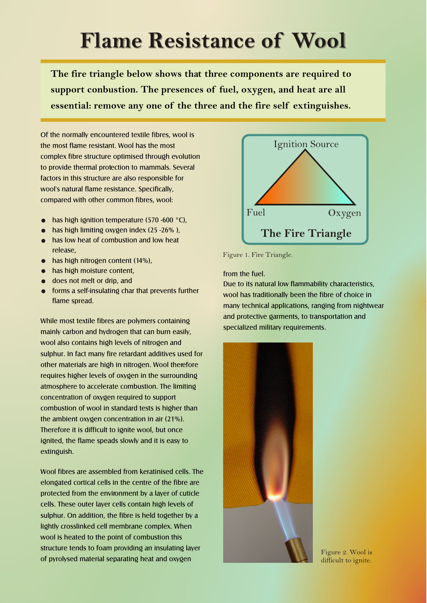## **Flame Resistance of Wool**

**The fire triangle below shows that three components are required to support conbustion. The presences of fuel, oxygen, and heat are all essential: remove any one of the three and the fire self extinguishes.**

Of the normally encountered textile fibres, wool is the most flame resistant. Wool has the most complex fibre structure optimised through evolution to provide thermal protection to mammals. Several factors in this structure are also responsible for wool's natural flame resistance. Specifically, compared with other common fibres, wool:

- has high ignition temperature (570 -600 °C),
- has high limiting oxygen index (25 -26%),
- **has low heat of combustion and low heat** release,
- **•** has high nitrogen content (14%),
- $\bullet$  has high moisture content,
- does not melt or drip, and
- **•** forms a self-insulating char that prevents further flame spread.

While most textile fibres are polymers containing mainly carbon and hydrogen that can burn easily, wool also contains high levels of nitrogen and sulphur. In fact many fire retardant additives used for other materials are high in nitrogen. Wool therefore requires higher levels of oxygen in the surrounding atmosphere to accelerate combustion. The limiting concentration of oxygen required to support combustion of wool in standard tests is higher than the ambient oxygen concentration in air (21%). Therefore it is difficult to ignite wool, but once ignited, the flame speads slowly and it is easy to extinguish.

Wool fibres are assembled from keratinised cells. The elongated cortical cells in the centre of the fibre are protected from the environment by a layer of cuticle cells. These outer layer cells contain high levels of sulphur. On addition, the fibre is held together by a lightly crosslinked cell membrane complex. When wool is heated to the point of combustion this structure tends to foam providing an insulating layer of pyrolysed material separating heat and oxygen



Figure 1. Fire Triangle.

from the fuel.

Due to its natural low flammability characteristics, wool has traditionally been the fibre of choice in many technical applications, ranging from nightwear and protective garments, to transportation and specialized military requirements.



Figure 2. Wool is difficult to ignite.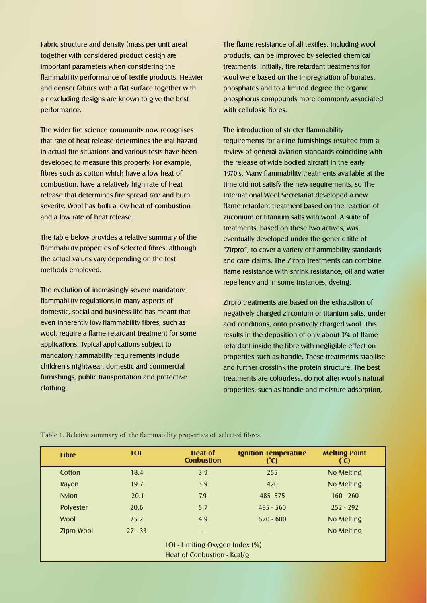Fabric structure and density (mass per unit area) together with considered product design are important parameters when considering the flammability performance of textile products. Heavier and denser fabrics with a flat surface together with air excluding designs are known to give the best performance.

The wider fire science community now recognises that rate of heat release determines the real hazard in actual fire situations and various tests have been developed to measure this property. For example, fibres such as cotton which have a low heat of combustion, have a relatively high rate of heat release that determines fire spread rate and burn severity. Wool has both a low heat of combustion and a low rate of heat release.

The table below provides a relative summary of the flammability properties of selected fibres, although the actual values vary depending on the test methods employed.

The evolution of increasingly severe mandatory flammability regulations in many aspects of domestic, social and business life has meant that even inherently low flammability fibres, such as wool, require a flame retardant treatment for some applications. Typical applications subject to mandatory flammability requirements include children's nightwear, domestic and commercial furnishings, public transportation and protective clothing.

The flame resistance of all textiles, including wool products, can be improved by selected chemical treatments. Initially, fire retardant treatments for wool were based on the impregnation of borates, phosphates and to a limited degree the organic phosphorus compounds more commonly associated with cellulosic fibres.

The introduction of stricter flammability requirements for airline furnishings resulted from a review of general aviation standards coinciding with the release of wide bodied aircraft in the early 1970's. Many flammability treatments available at the time did not satisfy the new requirements, so The International Wool Secretariat developed a new flame retardant treatment based on the reaction of zirconium or titanium salts with wool. A suite of treatments, based on these two actives, was eventually developed under the generic title of "Zirpro", to cover a variety of flammability standards and care claims. The Zirpro treatments can combine flame resistance with shrink resistance, oil and water repellency and in some instances, dyeing.

Zirpro treatments are based on the exhaustion of negatively charged zirconium or titanium salts, under acid conditions, onto positively charged wool. This results in the deposition of only about 3% of flame retardant inside the fibre with negligible effect on properties such as handle. These treatments stabilise and further crosslink the protein structure. The best treatments are colourless, do not alter wool's natural properties, such as handle and moisture adsorption,

| <b>Fibre</b>                                                   | <b>LOI</b> | <b>Heat of</b><br><b>Conbustion</b> | <b>Ignition Temperature</b><br>(C) | <b>Melting Point</b><br>(C) |
|----------------------------------------------------------------|------------|-------------------------------------|------------------------------------|-----------------------------|
| Cotton                                                         | 18.4       | 3.9                                 | 255                                | No Melting                  |
| Rayon                                                          | 19.7       | 3.9                                 | 420                                | No Melting                  |
| <b>Nylon</b>                                                   | 20.1       | 7.9                                 | 485-575                            | $160 - 260$                 |
| <b>Polyester</b>                                               | 20.6       | 5.7                                 | $485 - 560$                        | $252 - 292$                 |
| <b>Wool</b>                                                    | 25.2       | 4.9                                 | $570 - 600$                        | No Melting                  |
| <b>Zipro Wool</b>                                              | $27 - 33$  | $\overline{\phantom{0}}$            | ٠                                  | No Melting                  |
| LOI - Limiting Oxygen Index (%)<br>Heat of Conbustion - Kcal/g |            |                                     |                                    |                             |

Table 1. Relative summary of the flammability properties of selected fibres.